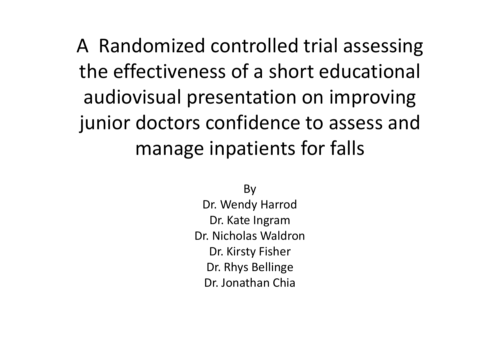A Randomized controlled trial assessing the effectiveness of <sup>a</sup> short educational audiovisual presentation on improving junior doctors confidence to assess and manage inpatients for falls

> By Dr. Wendy Harrod Dr. Kate Ingram Dr. Nicholas WaldronDr. Kirsty Fisher Dr. Rhys Bellinge Dr. Jonathan Chia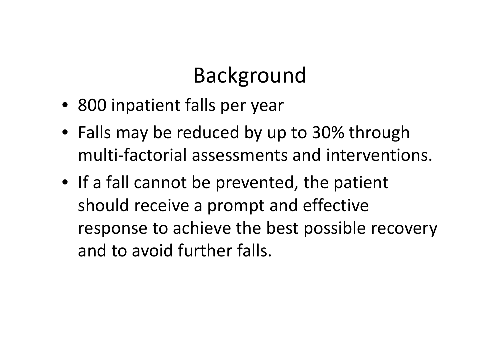### Background

- 800 inpatient falls per year
- Falls may be reduced by up to 30% through multi‐factorial assessments and interventions.
- If <sup>a</sup> fall cannot be prevented, the patient should receive <sup>a</sup> prompt and effective response to achieve the best possible recovery and to avoid further falls.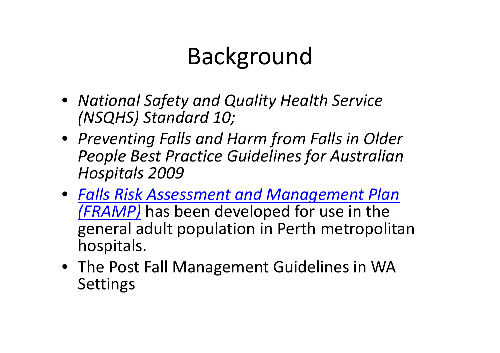# Background

- *National Safety and Quality Health Service (NSQHS) Standard 10;*
- *Preventing Falls and Harm from Falls in Older People Best Practice Guidelines for Australian Hospitals 2009*
- *Falls Risk Assessment and Management Plan (FRAMP)* has been developed for use in the general adult population in Perth metropolitan hospitals.
- The Post Fall Management Guidelines in WA Settings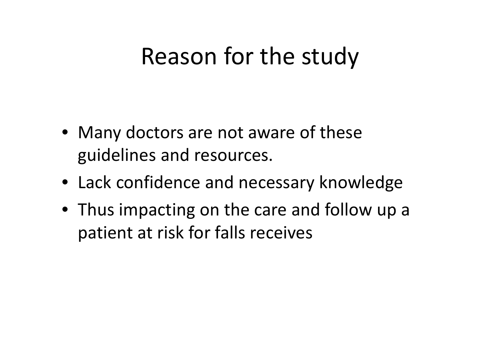### Reason for the study

- Many doctors are not aware of these guidelines and resources.
- Lack confidence and necessary knowledge
- Thus impacting on the care and follow up <sup>a</sup> patient at risk for falls receives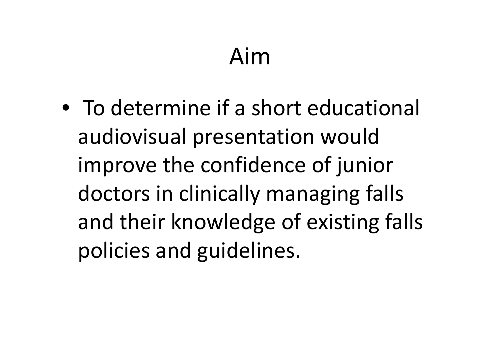# Aim

• To determine if <sup>a</sup> short educational audiovisual presentation would improve the confidence of junior doctors in clinically managing falls and their knowledge of existing falls policies and guidelines.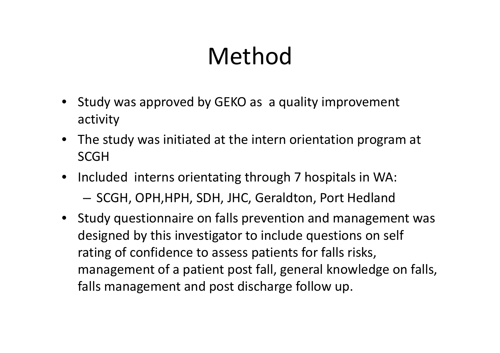# Method

- Study was approved by GEKO as <sup>a</sup> quality improvement activity
- The study was initiated at the intern orientation program at **SCGH**
- Included interns orientating through 7 hospitals in WA: — SCGH, OPH,HPH, SDH, JHC, Geraldton, Port Hedland
- Study questionnaire on falls prevention and management was designed by this investigator to include questions on self rating of confidence to assess patients for falls risks, management of <sup>a</sup> patient post fall, general knowledge on falls, falls management and post discharge follow up.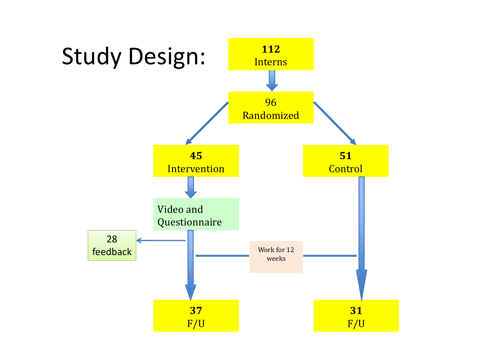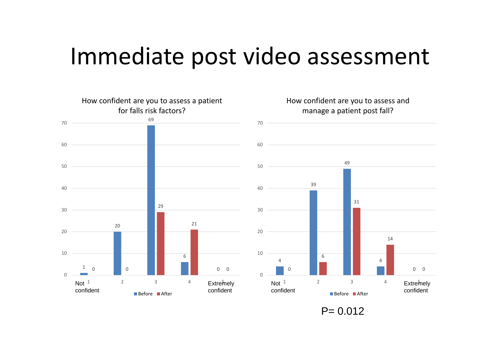### Immediate post video assessment



 $P = 0.012$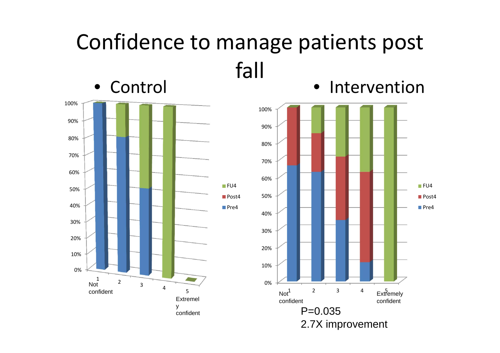#### Confidence to manage patients post fall • Intervention



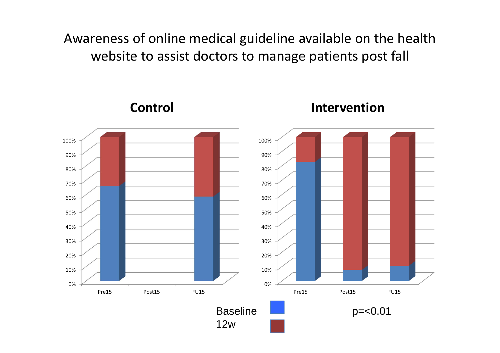Awareness of online medical guideline available on the health website to assist doctors to manage patients post fall

**Control Intervention** 0%10% 20%30%40%50%60%70%80%90%100% Pre15 Post15 **FU15** 0%10%20%30%40% 50%60%70% 80%90%100% Pre15 Post15 **FU15** Baseline 12w p=<0.01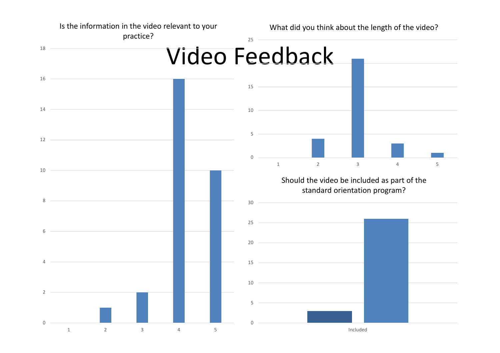Is the information in the video relevant to your

What did you think about the length of the video?

practice?

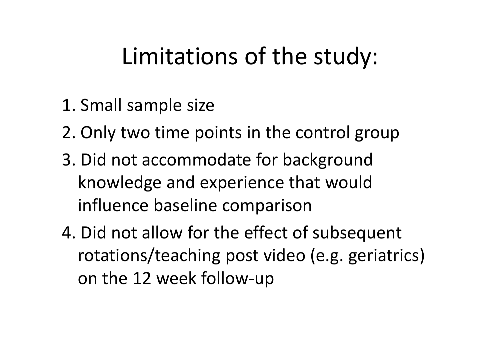## Limitations of the study:

- 1. Small sample size
- 2. Only two time points in the control group
- 3. Did not accommodate for background knowledge and experience that would influence baseline comparison
- 4. Did not allow for the effect of subsequent rotations/teaching post video (e.g. geriatrics) on the 12 week follow‐up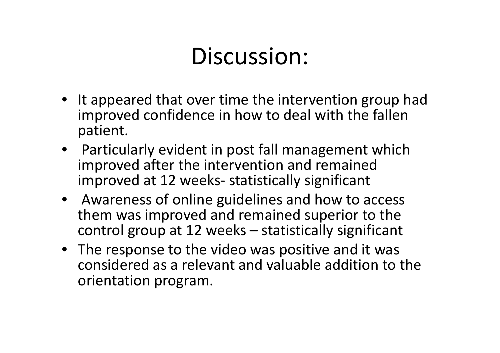### Discussion:

- It appeared that over time the intervention group had improved confidence in how to deal with the fallen patient.
- Particularly evident in post fall management which improved after the intervention and remained improved at 12 weeks‐ statistically significant
- Awareness of online guidelines and how to access them was improved and remained superior to the control group at 12 weeks – statistically significant
- The response to the video was positive and it was considered as <sup>a</sup> relevant and valuable addition to the orientation program.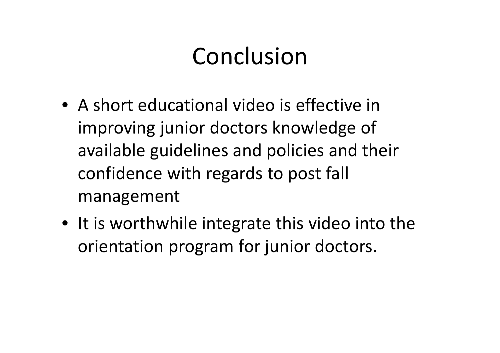## Conclusion

- A short educational video is effective in improving junior doctors knowledge of available guidelines and policies and their confidence with regards to post fall management
- It is worthwhile integrate this video into the orientation program for junior doctors.